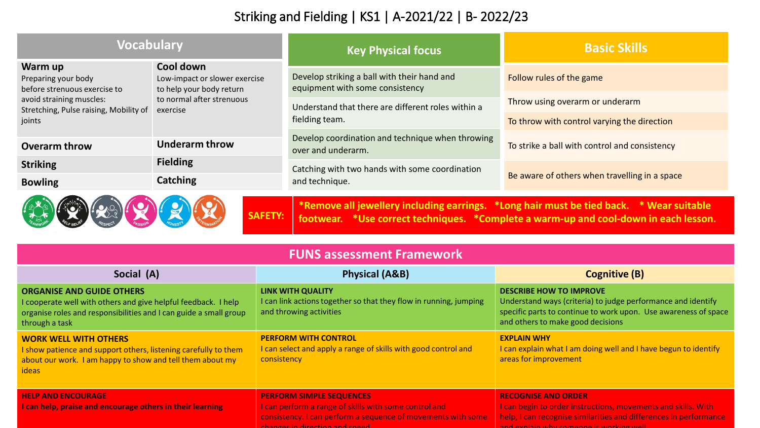## Striking and Fielding | KS1 | A-2021/22 | B- 2022/23

| <b>Vocabulary</b>                                                                                                                                                                                 |                                                                                                                 | <b>Key Physical focus</b>                                                      | <b>Basic Skills</b>                           |  |
|---------------------------------------------------------------------------------------------------------------------------------------------------------------------------------------------------|-----------------------------------------------------------------------------------------------------------------|--------------------------------------------------------------------------------|-----------------------------------------------|--|
| Warm up<br>Preparing your body<br>before strenuous exercise to<br>avoid straining muscles:<br>Stretching, Pulse raising, Mobility of                                                              | Cool down<br>Low-impact or slower exercise<br>to help your body return<br>to normal after strenuous<br>exercise | Develop striking a ball with their hand and<br>equipment with some consistency | Follow rules of the game                      |  |
|                                                                                                                                                                                                   |                                                                                                                 | Understand that there are different roles within a<br>fielding team.           | Throw using overarm or underarm               |  |
| joints                                                                                                                                                                                            |                                                                                                                 |                                                                                | To throw with control varying the direction   |  |
| <b>Overarm throw</b>                                                                                                                                                                              | <b>Underarm throw</b>                                                                                           | Develop coordination and technique when throwing<br>over and underarm.         | To strike a ball with control and consistency |  |
| <b>Striking</b>                                                                                                                                                                                   | <b>Fielding</b>                                                                                                 | Catching with two hands with some coordination<br>and technique.               | Be aware of others when travelling in a space |  |
| <b>Bowling</b>                                                                                                                                                                                    | <b>Catching</b>                                                                                                 |                                                                                |                                               |  |
| *Remove all jewellery including earrings. *Long hair must be tied back. * Wear suitable<br><b>SAFETY:</b><br>footwear. *Use correct techniques. *Complete a warm-up and cool-down in each lesson. |                                                                                                                 |                                                                                |                                               |  |

| <b>FUNS assessment Framework</b>                                                                                                                                                          |                                                                                                                                                                                            |                                                                                                                                                                                                              |  |  |
|-------------------------------------------------------------------------------------------------------------------------------------------------------------------------------------------|--------------------------------------------------------------------------------------------------------------------------------------------------------------------------------------------|--------------------------------------------------------------------------------------------------------------------------------------------------------------------------------------------------------------|--|--|
| Social (A)                                                                                                                                                                                | <b>Physical (A&amp;B)</b>                                                                                                                                                                  | <b>Cognitive (B)</b>                                                                                                                                                                                         |  |  |
| <b>ORGANISE AND GUIDE OTHERS</b><br>I cooperate well with others and give helpful feedback. I help<br>organise roles and responsibilities and I can guide a small group<br>through a task | LINK WITH QUALITY<br>I can link actions together so that they flow in running, jumping<br>and throwing activities                                                                          | <b>DESCRIBE HOW TO IMPROVE</b><br>Understand ways (criteria) to judge performance and identify<br>specific parts to continue to work upon. Use awareness of space<br>and others to make good decisions       |  |  |
| <b>WORK WELL WITH OTHERS</b><br>I show patience and support others, listening carefully to them<br>about our work. I am happy to show and tell them about my<br>ideas                     | <b>PERFORM WITH CONTROL</b><br>I can select and apply a range of skills with good control and<br>consistency                                                                               | <b>EXPLAIN WHY</b><br>I can explain what I am doing well and I have begun to identify<br>areas for improvement                                                                                               |  |  |
| <b>HELP AND ENCOURAGE</b><br>I can help, praise and encourage others in their learning                                                                                                    | <b>PERFORM SIMPLE SEQUENCES</b><br>I can perform a range of skills with some control and<br>consistency. I can perform a sequence of movements with some<br>changes in direction and sneed | <b>RECOGNISE AND ORDER</b><br>I can begin to order instructions, movements and skills. With<br>help, I can recognise similarities and differences in performance<br>and ovelain why compone is working wall. |  |  |